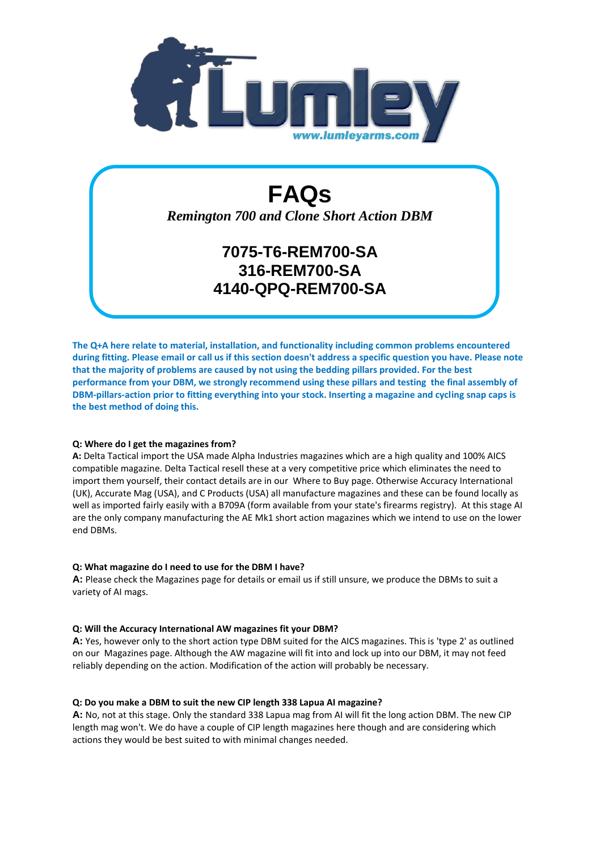

# **FAQs**

*Remington 700 and Clone Short Action DBM*

# **7075-T6-REM700-SA 316-REM700-SA 4140-QPQ-REM700-SA**

**The Q+A here relate to material, installation, and functionality including common problems encountered during fitting. Please email or call us if this section doesn't address a specific question you have. Please note that the majority of problems are caused by not using the bedding pillars provided. For the best performance from your DBM, we strongly recommend using these pillars and testing the final assembly of DBM-pillars-action prior to fitting everything into your stock. Inserting a magazine and cycling snap caps is the best method of doing this.**

# **Q: Where do I get the magazines from?**

**A:** Delta Tactical import the USA made Alpha Industries magazines which are a high quality and 100% AICS compatible magazine. Delta Tactical resell these at a very competitive price which eliminates the need to import them yourself, their contact details are in our Where to Buy page. Otherwise Accuracy International (UK), Accurate Mag (USA), and C Products (USA) all manufacture magazines and these can be found locally as well as imported fairly easily with a B709A (form available from your state's firearms registry). At this stage AI are the only company manufacturing the AE Mk1 short action magazines which we intend to use on the lower end DBMs.

# **Q: What magazine do I need to use for the DBM I have?**

**A:** Please check the Magazines page for details or email us if still unsure, we produce the DBMs to suit a variety of AI mags.

# **Q: Will the Accuracy International AW magazines fit your DBM?**

**A:** Yes, however only to the short action type DBM suited for the AICS magazines. This is 'type 2' as outlined on our Magazines page. Although the AW magazine will fit into and lock up into our DBM, it may not feed reliably depending on the action. Modification of the action will probably be necessary.

# **Q: Do you make a DBM to suit the new CIP length 338 Lapua AI magazine?**

**A:** No, not at this stage. Only the standard 338 Lapua mag from AI will fit the long action DBM. The new CIP length mag won't. We do have a couple of CIP length magazines here though and are considering which actions they would be best suited to with minimal changes needed.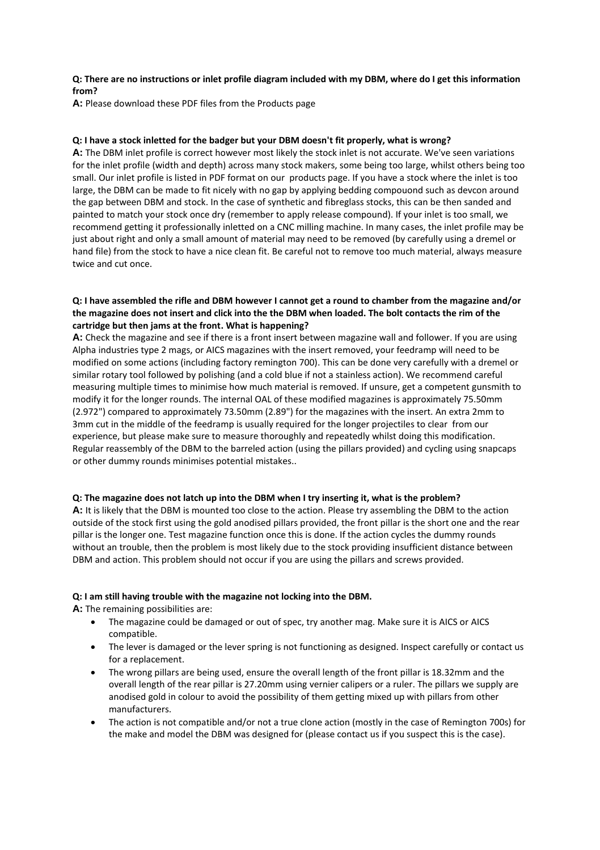#### **Q: There are no instructions or inlet profile diagram included with my DBM, where do I get this information from?**

**A:** Please download these PDF files from the Products page

#### **Q: I have a stock inletted for the badger but your DBM doesn't fit properly, what is wrong?**

**A:** The DBM inlet profile is correct however most likely the stock inlet is not accurate. We've seen variations for the inlet profile (width and depth) across many stock makers, some being too large, whilst others being too small. Our inlet profile is listed in PDF format on our products page. If you have a stock where the inlet is too large, the DBM can be made to fit nicely with no gap by applying bedding compouond such as devcon around the gap between DBM and stock. In the case of synthetic and fibreglass stocks, this can be then sanded and painted to match your stock once dry (remember to apply release compound). If your inlet is too small, we recommend getting it professionally inletted on a CNC milling machine. In many cases, the inlet profile may be just about right and only a small amount of material may need to be removed (by carefully using a dremel or hand file) from the stock to have a nice clean fit. Be careful not to remove too much material, always measure twice and cut once.

# **Q: I have assembled the rifle and DBM however I cannot get a round to chamber from the magazine and/or the magazine does not insert and click into the the DBM when loaded. The bolt contacts the rim of the cartridge but then jams at the front. What is happening?**

**A:** Check the magazine and see if there is a front insert between magazine wall and follower. If you are using Alpha industries type 2 mags, or AICS magazines with the insert removed, your feedramp will need to be modified on some actions (including factory remington 700). This can be done very carefully with a dremel or similar rotary tool followed by polishing (and a cold blue if not a stainless action). We recommend careful measuring multiple times to minimise how much material is removed. If unsure, get a competent gunsmith to modify it for the longer rounds. The internal OAL of these modified magazines is approximately 75.50mm (2.972") compared to approximately 73.50mm (2.89") for the magazines with the insert. An extra 2mm to 3mm cut in the middle of the feedramp is usually required for the longer projectiles to clear from our experience, but please make sure to measure thoroughly and repeatedly whilst doing this modification. Regular reassembly of the DBM to the barreled action (using the pillars provided) and cycling using snapcaps or other dummy rounds minimises potential mistakes..

#### **Q: The magazine does not latch up into the DBM when I try inserting it, what is the problem?**

**A:** It is likely that the DBM is mounted too close to the action. Please try assembling the DBM to the action outside of the stock first using the gold anodised pillars provided, the front pillar is the short one and the rear pillar is the longer one. Test magazine function once this is done. If the action cycles the dummy rounds without an trouble, then the problem is most likely due to the stock providing insufficient distance between DBM and action. This problem should not occur if you are using the pillars and screws provided.

#### **Q: I am still having trouble with the magazine not locking into the DBM.**

**A:** The remaining possibilities are:

- The magazine could be damaged or out of spec, try another mag. Make sure it is AICS or AICS compatible.
- The lever is damaged or the lever spring is not functioning as designed. Inspect carefully or contact us for a replacement.
- The wrong pillars are being used, ensure the overall length of the front pillar is 18.32mm and the overall length of the rear pillar is 27.20mm using vernier calipers or a ruler. The pillars we supply are anodised gold in colour to avoid the possibility of them getting mixed up with pillars from other manufacturers.
- The action is not compatible and/or not a true clone action (mostly in the case of Remington 700s) for the make and model the DBM was designed for (please contact us if you suspect this is the case).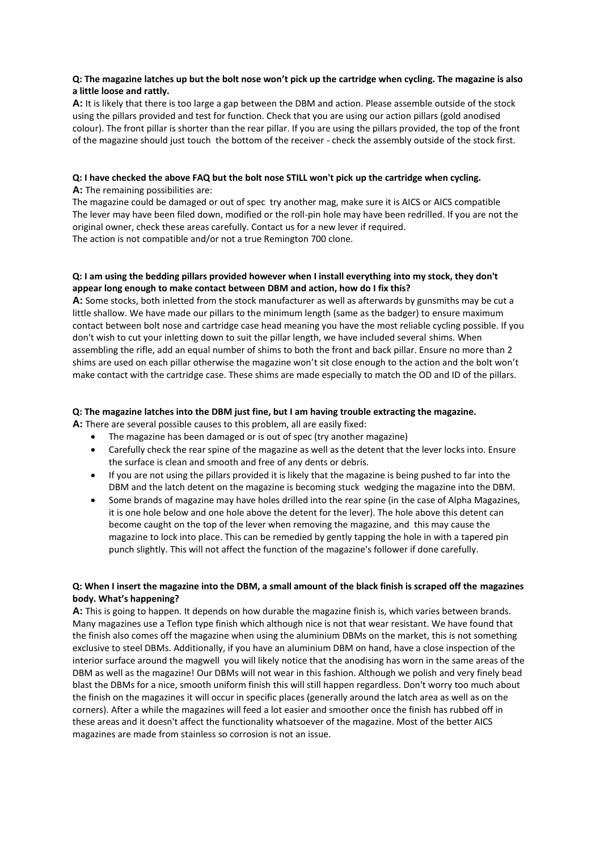# **Q: The magazine latches up but the bolt nose won't pick up the cartridge when cycling. The magazine is also a little loose and rattly.**

**A:** It is likely that there is too large a gap between the DBM and action. Please assemble outside of the stock using the pillars provided and test for function. Check that you are using our action pillars (gold anodised colour). The front pillar is shorter than the rear pillar. If you are using the pillars provided, the top of the front of the magazine should just touch the bottom of the receiver - check the assembly outside of the stock first.

#### **Q: I have checked the above FAQ but the bolt nose STILL won't pick up the cartridge when cycling. A:** The remaining possibilities are:

The magazine could be damaged or out of spec try another mag, make sure it is AICS or AICS compatible The lever may have been filed down, modified or the roll-pin hole may have been redrilled. If you are not the original owner, check these areas carefully. Contact us for a new lever if required. The action is not compatible and/or not a true Remington 700 clone.

# **Q: I am using the bedding pillars provided however when I install everything into my stock, they don't appear long enough to make contact between DBM and action, how do I fix this?**

**A:** Some stocks, both inletted from the stock manufacturer as well as afterwards by gunsmiths may be cut a little shallow. We have made our pillars to the minimum length (same as the badger) to ensure maximum contact between bolt nose and cartridge case head meaning you have the most reliable cycling possible. If you don't wish to cut your inletting down to suit the pillar length, we have included several shims. When assembling the rifle, add an equal number of shims to both the front and back pillar. Ensure no more than 2 shims are used on each pillar otherwise the magazine won't sit close enough to the action and the bolt won't make contact with the cartridge case. These shims are made especially to match the OD and ID of the pillars.

# **Q: The magazine latches into the DBM just fine, but I am having trouble extracting the magazine.**

**A:** There are several possible causes to this problem, all are easily fixed:

- The magazine has been damaged or is out of spec (try another magazine)
- Carefully check the rear spine of the magazine as well as the detent that the lever locks into. Ensure the surface is clean and smooth and free of any dents or debris.
- If you are not using the pillars provided it is likely that the magazine is being pushed to far into the DBM and the latch detent on the magazine is becoming stuck wedging the magazine into the DBM.
- Some brands of magazine may have holes drilled into the rear spine (in the case of Alpha Magazines, it is one hole below and one hole above the detent for the lever). The hole above this detent can become caught on the top of the lever when removing the magazine, and this may cause the magazine to lock into place. This can be remedied by gently tapping the hole in with a tapered pin punch slightly. This will not affect the function of the magazine's follower if done carefully.

# **Q: When I insert the magazine into the DBM, a small amount of the black finish is scraped off the magazines body. What's happening?**

**A:** This is going to happen. It depends on how durable the magazine finish is, which varies between brands. Many magazines use a Teflon type finish which although nice is not that wear resistant. We have found that the finish also comes off the magazine when using the aluminium DBMs on the market, this is not something exclusive to steel DBMs. Additionally, if you have an aluminium DBM on hand, have a close inspection of the interior surface around the magwell you will likely notice that the anodising has worn in the same areas of the DBM as well as the magazine! Our DBMs will not wear in this fashion. Although we polish and very finely bead blast the DBMs for a nice, smooth uniform finish this will still happen regardless. Don't worry too much about the finish on the magazines it will occur in specific places (generally around the latch area as well as on the corners). After a while the magazines will feed a lot easier and smoother once the finish has rubbed off in these areas and it doesn't affect the functionality whatsoever of the magazine. Most of the better AICS magazines are made from stainless so corrosion is not an issue.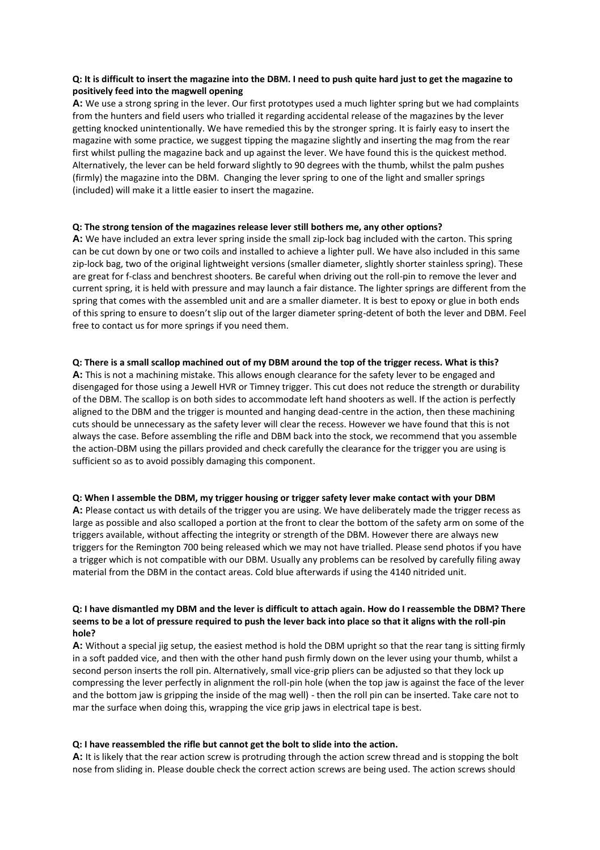#### **Q: It is difficult to insert the magazine into the DBM. I need to push quite hard just to get the magazine to positively feed into the magwell opening**

**A:** We use a strong spring in the lever. Our first prototypes used a much lighter spring but we had complaints from the hunters and field users who trialled it regarding accidental release of the magazines by the lever getting knocked unintentionally. We have remedied this by the stronger spring. It is fairly easy to insert the magazine with some practice, we suggest tipping the magazine slightly and inserting the mag from the rear first whilst pulling the magazine back and up against the lever. We have found this is the quickest method. Alternatively, the lever can be held forward slightly to 90 degrees with the thumb, whilst the palm pushes (firmly) the magazine into the DBM. Changing the lever spring to one of the light and smaller springs (included) will make it a little easier to insert the magazine.

#### **Q: The strong tension of the magazines release lever still bothers me, any other options?**

**A:** We have included an extra lever spring inside the small zip-lock bag included with the carton. This spring can be cut down by one or two coils and installed to achieve a lighter pull. We have also included in this same zip-lock bag, two of the original lightweight versions (smaller diameter, slightly shorter stainless spring). These are great for f-class and benchrest shooters. Be careful when driving out the roll-pin to remove the lever and current spring, it is held with pressure and may launch a fair distance. The lighter springs are different from the spring that comes with the assembled unit and are a smaller diameter. It is best to epoxy or glue in both ends of this spring to ensure to doesn't slip out of the larger diameter spring-detent of both the lever and DBM. Feel free to contact us for more springs if you need them.

#### **Q: There is a small scallop machined out of my DBM around the top of the trigger recess. What is this?**

**A:** This is not a machining mistake. This allows enough clearance for the safety lever to be engaged and disengaged for those using a Jewell HVR or Timney trigger. This cut does not reduce the strength or durability of the DBM. The scallop is on both sides to accommodate left hand shooters as well. If the action is perfectly aligned to the DBM and the trigger is mounted and hanging dead-centre in the action, then these machining cuts should be unnecessary as the safety lever will clear the recess. However we have found that this is not always the case. Before assembling the rifle and DBM back into the stock, we recommend that you assemble the action-DBM using the pillars provided and check carefully the clearance for the trigger you are using is sufficient so as to avoid possibly damaging this component.

#### **Q: When I assemble the DBM, my trigger housing or trigger safety lever make contact with your DBM**

**A:** Please contact us with details of the trigger you are using. We have deliberately made the trigger recess as large as possible and also scalloped a portion at the front to clear the bottom of the safety arm on some of the triggers available, without affecting the integrity or strength of the DBM. However there are always new triggers for the Remington 700 being released which we may not have trialled. Please send photos if you have a trigger which is not compatible with our DBM. Usually any problems can be resolved by carefully filing away material from the DBM in the contact areas. Cold blue afterwards if using the 4140 nitrided unit.

## **Q: I have dismantled my DBM and the lever is difficult to attach again. How do I reassemble the DBM? There seems to be a lot of pressure required to push the lever back into place so that it aligns with the roll-pin hole?**

**A:** Without a special jig setup, the easiest method is hold the DBM upright so that the rear tang is sitting firmly in a soft padded vice, and then with the other hand push firmly down on the lever using your thumb, whilst a second person inserts the roll pin. Alternatively, small vice-grip pliers can be adjusted so that they lock up compressing the lever perfectly in alignment the roll-pin hole (when the top jaw is against the face of the lever and the bottom jaw is gripping the inside of the mag well) - then the roll pin can be inserted. Take care not to mar the surface when doing this, wrapping the vice grip jaws in electrical tape is best.

#### **Q: I have reassembled the rifle but cannot get the bolt to slide into the action.**

**A:** It is likely that the rear action screw is protruding through the action screw thread and is stopping the bolt nose from sliding in. Please double check the correct action screws are being used. The action screws should